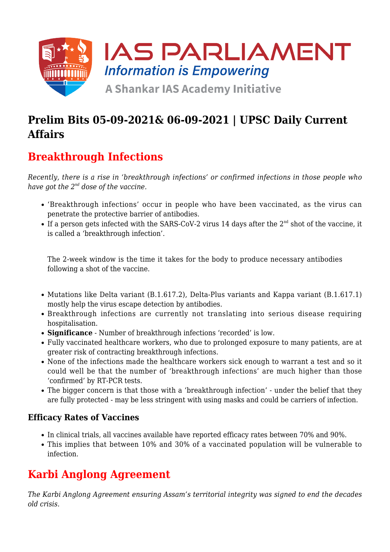

## **Prelim Bits 05-09-2021& 06-09-2021 | UPSC Daily Current Affairs**

# **Breakthrough Infections**

*Recently, there is a rise in 'breakthrough infections' or confirmed infections in those people who have got the 2nd dose of the vaccine.*

- 'Breakthrough infections' occur in people who have been vaccinated, as the virus can penetrate the protective barrier of antibodies.
- $\bullet$  If a person gets infected with the SARS-CoV-2 virus 14 days after the  $2^{\text{nd}}$  shot of the vaccine, it is called a 'breakthrough infection'.

The 2-week window is the time it takes for the body to produce necessary antibodies following a shot of the vaccine.

- Mutations like Delta variant (B.1.617.2), Delta-Plus variants and Kappa variant (B.1.617.1) mostly help the virus escape detection by antibodies.
- Breakthrough infections are currently not translating into serious disease requiring hospitalisation.
- **Significance** Number of breakthrough infections 'recorded' is low.
- Fully vaccinated healthcare workers, who due to prolonged exposure to many patients, are at greater risk of contracting breakthrough infections.
- None of the infections made the healthcare workers sick enough to warrant a test and so it could well be that the number of 'breakthrough infections' are much higher than those 'confirmed' by RT-PCR tests.
- The bigger concern is that those with a 'breakthrough infection' under the belief that they are fully protected - may be less stringent with using masks and could be carriers of infection.

#### **Efficacy Rates of Vaccines**

- In clinical trials, all vaccines available have reported efficacy rates between 70% and 90%.
- This implies that between 10% and 30% of a vaccinated population will be vulnerable to infection.

# **Karbi Anglong Agreement**

*The Karbi Anglong Agreement ensuring Assam's territorial integrity was signed to end the decades old crisis.*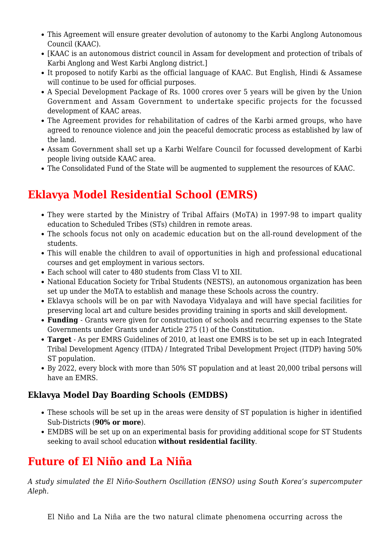- This Agreement will ensure greater devolution of autonomy to the Karbi Anglong Autonomous Council (KAAC).
- [KAAC is an autonomous district council in Assam for development and protection of tribals of Karbi Anglong and West Karbi Anglong district.]
- It proposed to notify Karbi as the official language of KAAC. But English, Hindi & Assamese will continue to be used for official purposes.
- A Special Development Package of Rs. 1000 crores over 5 years will be given by the Union Government and Assam Government to undertake specific projects for the focussed development of KAAC areas.
- The Agreement provides for rehabilitation of cadres of the Karbi armed groups, who have agreed to renounce violence and join the peaceful democratic process as established by law of the land.
- Assam Government shall set up a Karbi Welfare Council for focussed development of Karbi people living outside KAAC area.
- The Consolidated Fund of the State will be augmented to supplement the resources of KAAC.

## **Eklavya Model Residential School (EMRS)**

- They were started by the Ministry of Tribal Affairs (MoTA) in 1997-98 to impart quality education to Scheduled Tribes (STs) children in remote areas.
- The schools focus not only on academic education but on the all-round development of the students.
- This will enable the children to avail of opportunities in high and professional educational courses and get employment in various sectors.
- Each school will cater to 480 students from Class VI to XII.
- National Education Society for Tribal Students (NESTS), an autonomous organization has been set up under the MoTA to establish and manage these Schools across the country.
- Eklavya schools will be on par with Navodaya Vidyalaya and will have special facilities for preserving local art and culture besides providing training in sports and skill development.
- **Funding** Grants were given for construction of schools and recurring expenses to the State Governments under Grants under Article 275 (1) of the Constitution.
- **Target** As per EMRS Guidelines of 2010, at least one EMRS is to be set up in each Integrated Tribal Development Agency (ITDA) / Integrated Tribal Development Project (ITDP) having 50% ST population.
- By 2022, every block with more than 50% ST population and at least 20,000 tribal persons will have an EMRS.

#### **Eklavya Model Day Boarding Schools (EMDBS)**

- These schools will be set up in the areas were density of ST population is higher in identified Sub-Districts (**90% or more**).
- EMDBS will be set up on an experimental basis for providing additional scope for ST Students seeking to avail school education **without residential facility**.

## **Future of El Niño and La Niña**

*A study simulated the El Niño-Southern Oscillation (ENSO) using South Korea's supercomputer Aleph.*

El Niño and La Niña are the two natural climate phenomena occurring across the